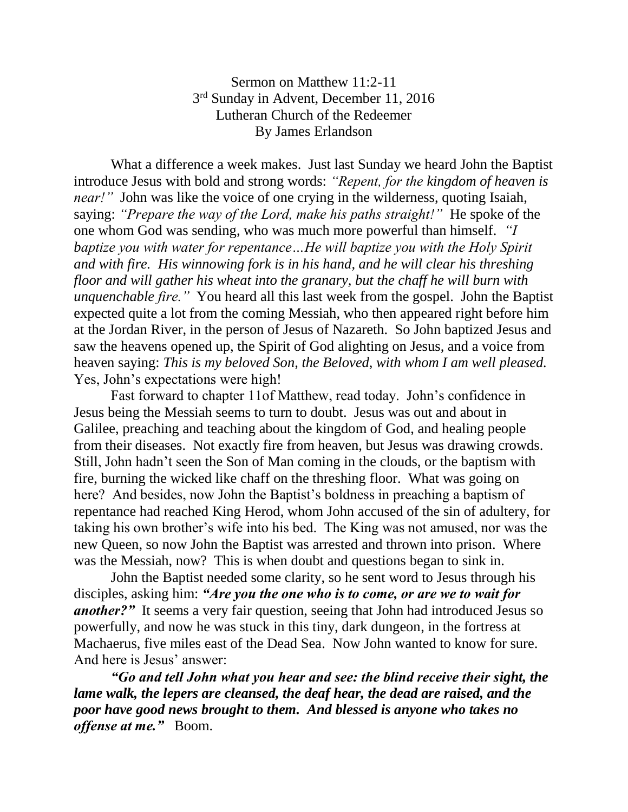## Sermon on Matthew 11:2-11 3<sup>rd</sup> Sunday in Advent, December 11, 2016 Lutheran Church of the Redeemer By James Erlandson

What a difference a week makes. Just last Sunday we heard John the Baptist introduce Jesus with bold and strong words: *"Repent, for the kingdom of heaven is near!*" John was like the voice of one crying in the wilderness, quoting Isaiah, saying: *"Prepare the way of the Lord, make his paths straight!"* He spoke of the one whom God was sending, who was much more powerful than himself. *"I baptize you with water for repentance…He will baptize you with the Holy Spirit and with fire. His winnowing fork is in his hand, and he will clear his threshing floor and will gather his wheat into the granary, but the chaff he will burn with unquenchable fire."* You heard all this last week from the gospel. John the Baptist expected quite a lot from the coming Messiah, who then appeared right before him at the Jordan River, in the person of Jesus of Nazareth. So John baptized Jesus and saw the heavens opened up, the Spirit of God alighting on Jesus, and a voice from heaven saying: *This is my beloved Son, the Beloved, with whom I am well pleased.* Yes, John's expectations were high!

Fast forward to chapter 11of Matthew, read today. John's confidence in Jesus being the Messiah seems to turn to doubt. Jesus was out and about in Galilee, preaching and teaching about the kingdom of God, and healing people from their diseases. Not exactly fire from heaven, but Jesus was drawing crowds. Still, John hadn't seen the Son of Man coming in the clouds, or the baptism with fire, burning the wicked like chaff on the threshing floor. What was going on here? And besides, now John the Baptist's boldness in preaching a baptism of repentance had reached King Herod, whom John accused of the sin of adultery, for taking his own brother's wife into his bed. The King was not amused, nor was the new Queen, so now John the Baptist was arrested and thrown into prison. Where was the Messiah, now? This is when doubt and questions began to sink in.

John the Baptist needed some clarity, so he sent word to Jesus through his disciples, asking him: *"Are you the one who is to come, or are we to wait for another?*" It seems a very fair question, seeing that John had introduced Jesus so powerfully, and now he was stuck in this tiny, dark dungeon, in the fortress at Machaerus, five miles east of the Dead Sea. Now John wanted to know for sure. And here is Jesus' answer:

*"Go and tell John what you hear and see: the blind receive their sight, the lame walk, the lepers are cleansed, the deaf hear, the dead are raised, and the poor have good news brought to them. And blessed is anyone who takes no offense at me."* Boom.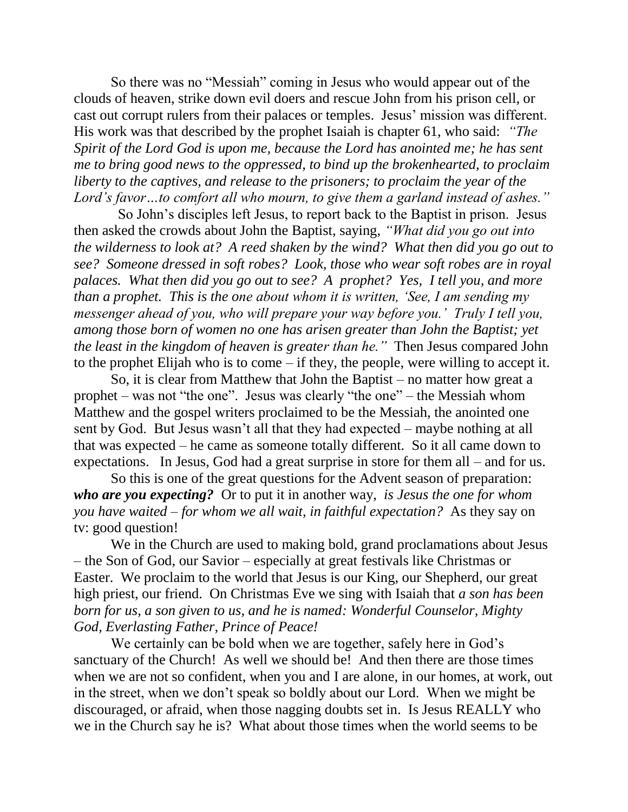So there was no "Messiah" coming in Jesus who would appear out of the clouds of heaven, strike down evil doers and rescue John from his prison cell, or cast out corrupt rulers from their palaces or temples. Jesus' mission was different. His work was that described by the prophet Isaiah is chapter 61, who said: *"The Spirit of the Lord God is upon me, because the Lord has anointed me; he has sent me to bring good news to the oppressed, to bind up the brokenhearted, to proclaim liberty to the captives, and release to the prisoners; to proclaim the year of the Lord's favor…to comfort all who mourn, to give them a garland instead of ashes."*

 So John's disciples left Jesus, to report back to the Baptist in prison. Jesus then asked the crowds about John the Baptist, saying, *"What did you go out into the wilderness to look at? A reed shaken by the wind? What then did you go out to see? Someone dressed in soft robes? Look, those who wear soft robes are in royal palaces. What then did you go out to see? A prophet? Yes, I tell you, and more than a prophet. This is the one about whom it is written, 'See, I am sending my messenger ahead of you, who will prepare your way before you.' Truly I tell you, among those born of women no one has arisen greater than John the Baptist; yet the least in the kingdom of heaven is greater than he."* Then Jesus compared John to the prophet Elijah who is to come – if they, the people, were willing to accept it.

So, it is clear from Matthew that John the Baptist – no matter how great a prophet – was not "the one". Jesus was clearly "the one" – the Messiah whom Matthew and the gospel writers proclaimed to be the Messiah, the anointed one sent by God. But Jesus wasn't all that they had expected – maybe nothing at all that was expected – he came as someone totally different. So it all came down to expectations. In Jesus, God had a great surprise in store for them all – and for us.

So this is one of the great questions for the Advent season of preparation: *who are you expecting?* Or to put it in another way, *is Jesus the one for whom you have waited – for whom we all wait, in faithful expectation?* As they say on tv: good question!

We in the Church are used to making bold, grand proclamations about Jesus – the Son of God, our Savior – especially at great festivals like Christmas or Easter. We proclaim to the world that Jesus is our King, our Shepherd, our great high priest, our friend. On Christmas Eve we sing with Isaiah that *a son has been born for us, a son given to us, and he is named: Wonderful Counselor, Mighty God, Everlasting Father, Prince of Peace!*

We certainly can be bold when we are together, safely here in God's sanctuary of the Church! As well we should be! And then there are those times when we are not so confident, when you and I are alone, in our homes, at work, out in the street, when we don't speak so boldly about our Lord. When we might be discouraged, or afraid, when those nagging doubts set in. Is Jesus REALLY who we in the Church say he is? What about those times when the world seems to be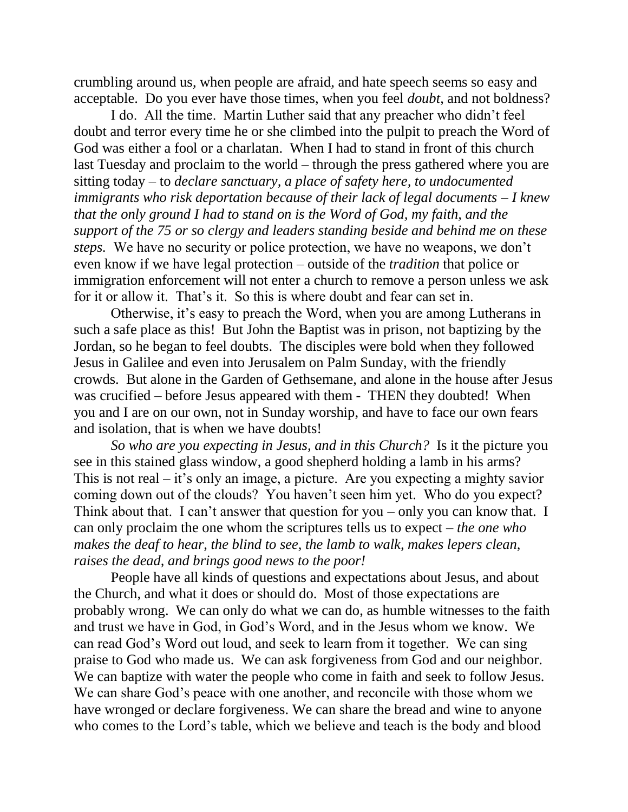crumbling around us, when people are afraid, and hate speech seems so easy and acceptable. Do you ever have those times, when you feel *doubt*, and not boldness?

I do. All the time. Martin Luther said that any preacher who didn't feel doubt and terror every time he or she climbed into the pulpit to preach the Word of God was either a fool or a charlatan. When I had to stand in front of this church last Tuesday and proclaim to the world – through the press gathered where you are sitting today – to *declare sanctuary, a place of safety here, to undocumented immigrants who risk deportation because of their lack of legal documents – I knew that the only ground I had to stand on is the Word of God, my faith, and the support of the 75 or so clergy and leaders standing beside and behind me on these steps.* We have no security or police protection, we have no weapons, we don't even know if we have legal protection – outside of the *tradition* that police or immigration enforcement will not enter a church to remove a person unless we ask for it or allow it. That's it. So this is where doubt and fear can set in.

Otherwise, it's easy to preach the Word, when you are among Lutherans in such a safe place as this! But John the Baptist was in prison, not baptizing by the Jordan, so he began to feel doubts. The disciples were bold when they followed Jesus in Galilee and even into Jerusalem on Palm Sunday, with the friendly crowds. But alone in the Garden of Gethsemane, and alone in the house after Jesus was crucified – before Jesus appeared with them - THEN they doubted! When you and I are on our own, not in Sunday worship, and have to face our own fears and isolation, that is when we have doubts!

*So who are you expecting in Jesus, and in this Church?* Is it the picture you see in this stained glass window, a good shepherd holding a lamb in his arms? This is not real – it's only an image, a picture. Are you expecting a mighty savior coming down out of the clouds? You haven't seen him yet. Who do you expect? Think about that. I can't answer that question for you – only you can know that. I can only proclaim the one whom the scriptures tells us to expect – *the one who makes the deaf to hear, the blind to see, the lamb to walk, makes lepers clean, raises the dead, and brings good news to the poor!*

People have all kinds of questions and expectations about Jesus, and about the Church, and what it does or should do. Most of those expectations are probably wrong. We can only do what we can do, as humble witnesses to the faith and trust we have in God, in God's Word, and in the Jesus whom we know. We can read God's Word out loud, and seek to learn from it together. We can sing praise to God who made us. We can ask forgiveness from God and our neighbor. We can baptize with water the people who come in faith and seek to follow Jesus. We can share God's peace with one another, and reconcile with those whom we have wronged or declare forgiveness. We can share the bread and wine to anyone who comes to the Lord's table, which we believe and teach is the body and blood